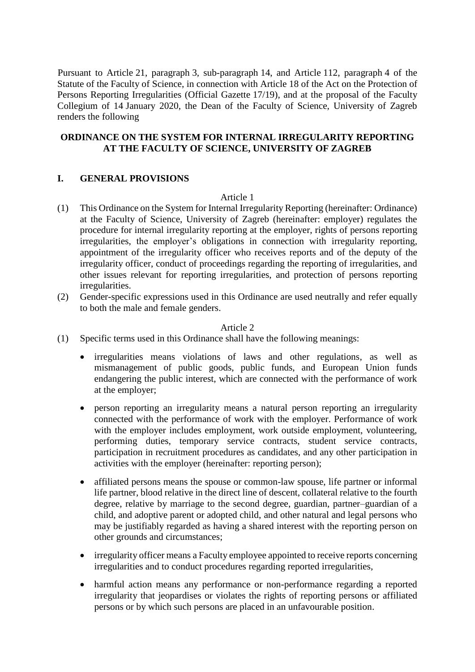Pursuant to Article 21, paragraph 3, sub-paragraph 14, and Article 112, paragraph 4 of the Statute of the Faculty of Science, in connection with Article 18 of the Act on the Protection of Persons Reporting Irregularities (Official Gazette 17/19), and at the proposal of the Faculty Collegium of 14 January 2020, the Dean of the Faculty of Science, University of Zagreb renders the following

## **ORDINANCE ON THE SYSTEM FOR INTERNAL IRREGULARITY REPORTING AT THE FACULTY OF SCIENCE, UNIVERSITY OF ZAGREB**

## **I. GENERAL PROVISIONS**

#### Article 1

- (1) This Ordinance on the System for Internal Irregularity Reporting (hereinafter: Ordinance) at the Faculty of Science, University of Zagreb (hereinafter: employer) regulates the procedure for internal irregularity reporting at the employer, rights of persons reporting irregularities, the employer's obligations in connection with irregularity reporting, appointment of the irregularity officer who receives reports and of the deputy of the irregularity officer, conduct of proceedings regarding the reporting of irregularities, and other issues relevant for reporting irregularities, and protection of persons reporting irregularities.
- (2) Gender-specific expressions used in this Ordinance are used neutrally and refer equally to both the male and female genders.

- (1) Specific terms used in this Ordinance shall have the following meanings:
	- irregularities means violations of laws and other regulations, as well as mismanagement of public goods, public funds, and European Union funds endangering the public interest, which are connected with the performance of work at the employer;
	- person reporting an irregularity means a natural person reporting an irregularity connected with the performance of work with the employer. Performance of work with the employer includes employment, work outside employment, volunteering, performing duties, temporary service contracts, student service contracts, participation in recruitment procedures as candidates, and any other participation in activities with the employer (hereinafter: reporting person);
	- affiliated persons means the spouse or common-law spouse, life partner or informal life partner, blood relative in the direct line of descent, collateral relative to the fourth degree, relative by marriage to the second degree, guardian, partner–guardian of a child, and adoptive parent or adopted child, and other natural and legal persons who may be justifiably regarded as having a shared interest with the reporting person on other grounds and circumstances;
	- irregularity officer means a Faculty employee appointed to receive reports concerning irregularities and to conduct procedures regarding reported irregularities,
	- harmful action means any performance or non-performance regarding a reported irregularity that jeopardises or violates the rights of reporting persons or affiliated persons or by which such persons are placed in an unfavourable position.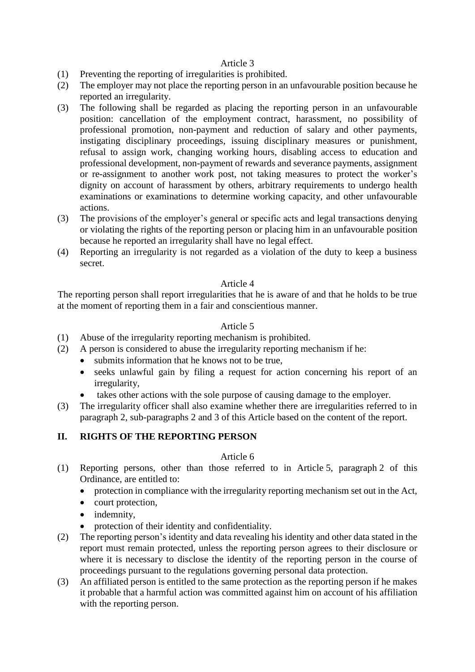## Article 3

- (1) Preventing the reporting of irregularities is prohibited.
- (2) The employer may not place the reporting person in an unfavourable position because he reported an irregularity.
- (3) The following shall be regarded as placing the reporting person in an unfavourable position: cancellation of the employment contract, harassment, no possibility of professional promotion, non-payment and reduction of salary and other payments, instigating disciplinary proceedings, issuing disciplinary measures or punishment, refusal to assign work, changing working hours, disabling access to education and professional development, non-payment of rewards and severance payments, assignment or re-assignment to another work post, not taking measures to protect the worker's dignity on account of harassment by others, arbitrary requirements to undergo health examinations or examinations to determine working capacity, and other unfavourable actions.
- (3) The provisions of the employer's general or specific acts and legal transactions denying or violating the rights of the reporting person or placing him in an unfavourable position because he reported an irregularity shall have no legal effect.
- (4) Reporting an irregularity is not regarded as a violation of the duty to keep a business secret.

## Article 4

The reporting person shall report irregularities that he is aware of and that he holds to be true at the moment of reporting them in a fair and conscientious manner.

## Article 5

- (1) Abuse of the irregularity reporting mechanism is prohibited.
- (2) A person is considered to abuse the irregularity reporting mechanism if he:
	- submits information that he knows not to be true.
	- seeks unlawful gain by filing a request for action concerning his report of an irregularity,
	- takes other actions with the sole purpose of causing damage to the employer.
- (3) The irregularity officer shall also examine whether there are irregularities referred to in paragraph 2, sub-paragraphs 2 and 3 of this Article based on the content of the report.

# **II. RIGHTS OF THE REPORTING PERSON**

- (1) Reporting persons, other than those referred to in Article 5, paragraph 2 of this Ordinance, are entitled to:
	- protection in compliance with the irregularity reporting mechanism set out in the Act,
	- court protection,
	- indemnity,
	- protection of their identity and confidentiality.
- (2) The reporting person's identity and data revealing his identity and other data stated in the report must remain protected, unless the reporting person agrees to their disclosure or where it is necessary to disclose the identity of the reporting person in the course of proceedings pursuant to the regulations governing personal data protection.
- (3) An affiliated person is entitled to the same protection as the reporting person if he makes it probable that a harmful action was committed against him on account of his affiliation with the reporting person.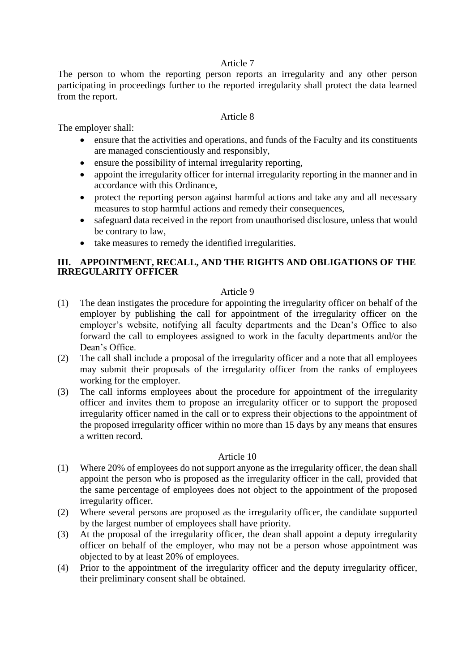## Article 7

The person to whom the reporting person reports an irregularity and any other person participating in proceedings further to the reported irregularity shall protect the data learned from the report.

## Article 8

The employer shall:

- ensure that the activities and operations, and funds of the Faculty and its constituents are managed conscientiously and responsibly,
- ensure the possibility of internal irregularity reporting,
- appoint the irregularity officer for internal irregularity reporting in the manner and in accordance with this Ordinance,
- protect the reporting person against harmful actions and take any and all necessary measures to stop harmful actions and remedy their consequences,
- safeguard data received in the report from unauthorised disclosure, unless that would be contrary to law,
- take measures to remedy the identified irregularities.

## **III. APPOINTMENT, RECALL, AND THE RIGHTS AND OBLIGATIONS OF THE IRREGULARITY OFFICER**

## Article 9

- (1) The dean instigates the procedure for appointing the irregularity officer on behalf of the employer by publishing the call for appointment of the irregularity officer on the employer's website, notifying all faculty departments and the Dean's Office to also forward the call to employees assigned to work in the faculty departments and/or the Dean's Office.
- (2) The call shall include a proposal of the irregularity officer and a note that all employees may submit their proposals of the irregularity officer from the ranks of employees working for the employer.
- (3) The call informs employees about the procedure for appointment of the irregularity officer and invites them to propose an irregularity officer or to support the proposed irregularity officer named in the call or to express their objections to the appointment of the proposed irregularity officer within no more than 15 days by any means that ensures a written record.

- (1) Where 20% of employees do not support anyone as the irregularity officer, the dean shall appoint the person who is proposed as the irregularity officer in the call, provided that the same percentage of employees does not object to the appointment of the proposed irregularity officer.
- (2) Where several persons are proposed as the irregularity officer, the candidate supported by the largest number of employees shall have priority.
- (3) At the proposal of the irregularity officer, the dean shall appoint a deputy irregularity officer on behalf of the employer, who may not be a person whose appointment was objected to by at least 20% of employees.
- (4) Prior to the appointment of the irregularity officer and the deputy irregularity officer, their preliminary consent shall be obtained.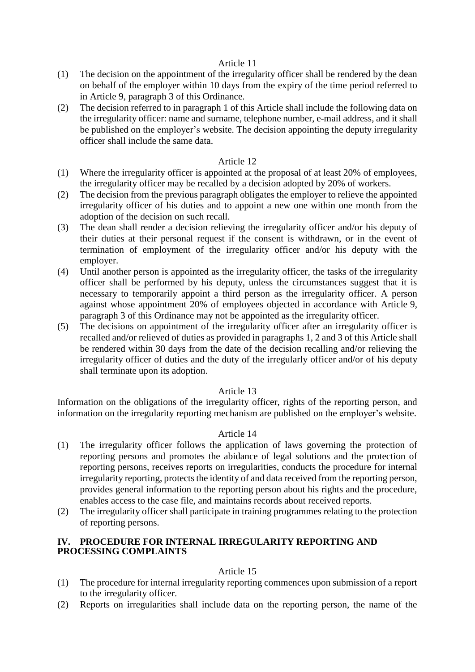#### Article 11

- (1) The decision on the appointment of the irregularity officer shall be rendered by the dean on behalf of the employer within 10 days from the expiry of the time period referred to in Article 9, paragraph 3 of this Ordinance.
- (2) The decision referred to in paragraph 1 of this Article shall include the following data on the irregularity officer: name and surname, telephone number, e-mail address, and it shall be published on the employer's website. The decision appointing the deputy irregularity officer shall include the same data.

## Article 12

- (1) Where the irregularity officer is appointed at the proposal of at least 20% of employees, the irregularity officer may be recalled by a decision adopted by 20% of workers.
- (2) The decision from the previous paragraph obligates the employer to relieve the appointed irregularity officer of his duties and to appoint a new one within one month from the adoption of the decision on such recall.
- (3) The dean shall render a decision relieving the irregularity officer and/or his deputy of their duties at their personal request if the consent is withdrawn, or in the event of termination of employment of the irregularity officer and/or his deputy with the employer.
- (4) Until another person is appointed as the irregularity officer, the tasks of the irregularity officer shall be performed by his deputy, unless the circumstances suggest that it is necessary to temporarily appoint a third person as the irregularity officer. A person against whose appointment 20% of employees objected in accordance with Article 9, paragraph 3 of this Ordinance may not be appointed as the irregularity officer.
- (5) The decisions on appointment of the irregularity officer after an irregularity officer is recalled and/or relieved of duties as provided in paragraphs 1, 2 and 3 of this Article shall be rendered within 30 days from the date of the decision recalling and/or relieving the irregularity officer of duties and the duty of the irregularly officer and/or of his deputy shall terminate upon its adoption.

#### Article 13

Information on the obligations of the irregularity officer, rights of the reporting person, and information on the irregularity reporting mechanism are published on the employer's website.

#### Article 14

- (1) The irregularity officer follows the application of laws governing the protection of reporting persons and promotes the abidance of legal solutions and the protection of reporting persons, receives reports on irregularities, conducts the procedure for internal irregularity reporting, protects the identity of and data received from the reporting person, provides general information to the reporting person about his rights and the procedure, enables access to the case file, and maintains records about received reports.
- (2) The irregularity officer shall participate in training programmes relating to the protection of reporting persons.

#### **IV. PROCEDURE FOR INTERNAL IRREGULARITY REPORTING AND PROCESSING COMPLAINTS**

- (1) The procedure for internal irregularity reporting commences upon submission of a report to the irregularity officer.
- (2) Reports on irregularities shall include data on the reporting person, the name of the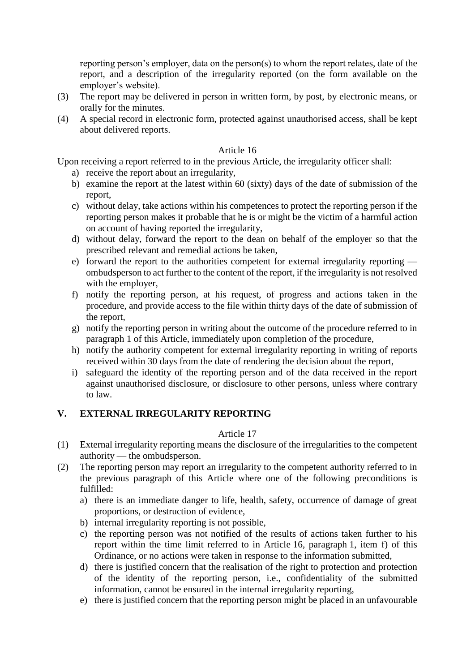reporting person's employer, data on the person(s) to whom the report relates, date of the report, and a description of the irregularity reported (on the form available on the employer's website).

- (3) The report may be delivered in person in written form, by post, by electronic means, or orally for the minutes.
- (4) A special record in electronic form, protected against unauthorised access, shall be kept about delivered reports.

## Article 16

Upon receiving a report referred to in the previous Article, the irregularity officer shall:

- a) receive the report about an irregularity,
- b) examine the report at the latest within 60 (sixty) days of the date of submission of the report,
- c) without delay, take actions within his competences to protect the reporting person if the reporting person makes it probable that he is or might be the victim of a harmful action on account of having reported the irregularity,
- d) without delay, forward the report to the dean on behalf of the employer so that the prescribed relevant and remedial actions be taken,
- e) forward the report to the authorities competent for external irregularity reporting ombudsperson to act further to the content of the report, if the irregularity is not resolved with the employer,
- f) notify the reporting person, at his request, of progress and actions taken in the procedure, and provide access to the file within thirty days of the date of submission of the report,
- g) notify the reporting person in writing about the outcome of the procedure referred to in paragraph 1 of this Article, immediately upon completion of the procedure,
- h) notify the authority competent for external irregularity reporting in writing of reports received within 30 days from the date of rendering the decision about the report,
- i) safeguard the identity of the reporting person and of the data received in the report against unauthorised disclosure, or disclosure to other persons, unless where contrary to law.

# **V. EXTERNAL IRREGULARITY REPORTING**

- (1) External irregularity reporting means the disclosure of the irregularities to the competent authority — the ombudsperson.
- (2) The reporting person may report an irregularity to the competent authority referred to in the previous paragraph of this Article where one of the following preconditions is fulfilled:
	- a) there is an immediate danger to life, health, safety, occurrence of damage of great proportions, or destruction of evidence,
	- b) internal irregularity reporting is not possible,
	- c) the reporting person was not notified of the results of actions taken further to his report within the time limit referred to in Article 16, paragraph 1, item f) of this Ordinance, or no actions were taken in response to the information submitted,
	- d) there is justified concern that the realisation of the right to protection and protection of the identity of the reporting person, i.e., confidentiality of the submitted information, cannot be ensured in the internal irregularity reporting,
	- e) there is justified concern that the reporting person might be placed in an unfavourable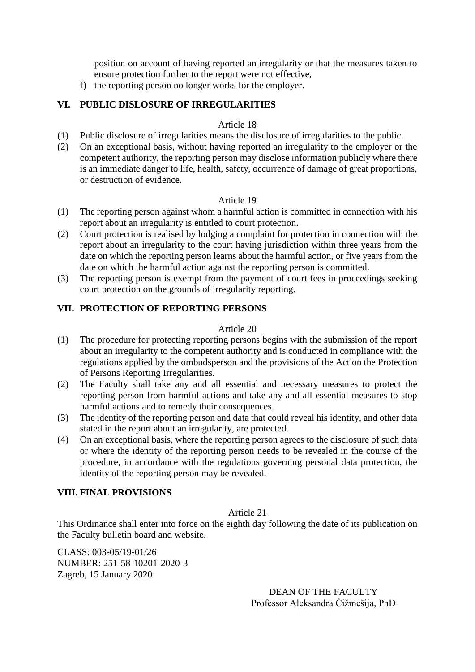position on account of having reported an irregularity or that the measures taken to ensure protection further to the report were not effective,

f) the reporting person no longer works for the employer.

# **VI. PUBLIC DISLOSURE OF IRREGULARITIES**

#### Article 18

- (1) Public disclosure of irregularities means the disclosure of irregularities to the public.
- (2) On an exceptional basis, without having reported an irregularity to the employer or the competent authority, the reporting person may disclose information publicly where there is an immediate danger to life, health, safety, occurrence of damage of great proportions, or destruction of evidence.

# Article 19

- (1) The reporting person against whom a harmful action is committed in connection with his report about an irregularity is entitled to court protection.
- (2) Court protection is realised by lodging a complaint for protection in connection with the report about an irregularity to the court having jurisdiction within three years from the date on which the reporting person learns about the harmful action, or five years from the date on which the harmful action against the reporting person is committed.
- (3) The reporting person is exempt from the payment of court fees in proceedings seeking court protection on the grounds of irregularity reporting.

## **VII. PROTECTION OF REPORTING PERSONS**

#### Article 20

- (1) The procedure for protecting reporting persons begins with the submission of the report about an irregularity to the competent authority and is conducted in compliance with the regulations applied by the ombudsperson and the provisions of the Act on the Protection of Persons Reporting Irregularities.
- (2) The Faculty shall take any and all essential and necessary measures to protect the reporting person from harmful actions and take any and all essential measures to stop harmful actions and to remedy their consequences.
- (3) The identity of the reporting person and data that could reveal his identity, and other data stated in the report about an irregularity, are protected.
- (4) On an exceptional basis, where the reporting person agrees to the disclosure of such data or where the identity of the reporting person needs to be revealed in the course of the procedure, in accordance with the regulations governing personal data protection, the identity of the reporting person may be revealed.

# **VIII. FINAL PROVISIONS**

#### Article 21

This Ordinance shall enter into force on the eighth day following the date of its publication on the Faculty bulletin board and website.

CLASS: 003-05/19-01/26 NUMBER: 251-58-10201-2020-3 Zagreb, 15 January 2020

> DEAN OF THE FACULTY Professor Aleksandra Čižmešija, PhD